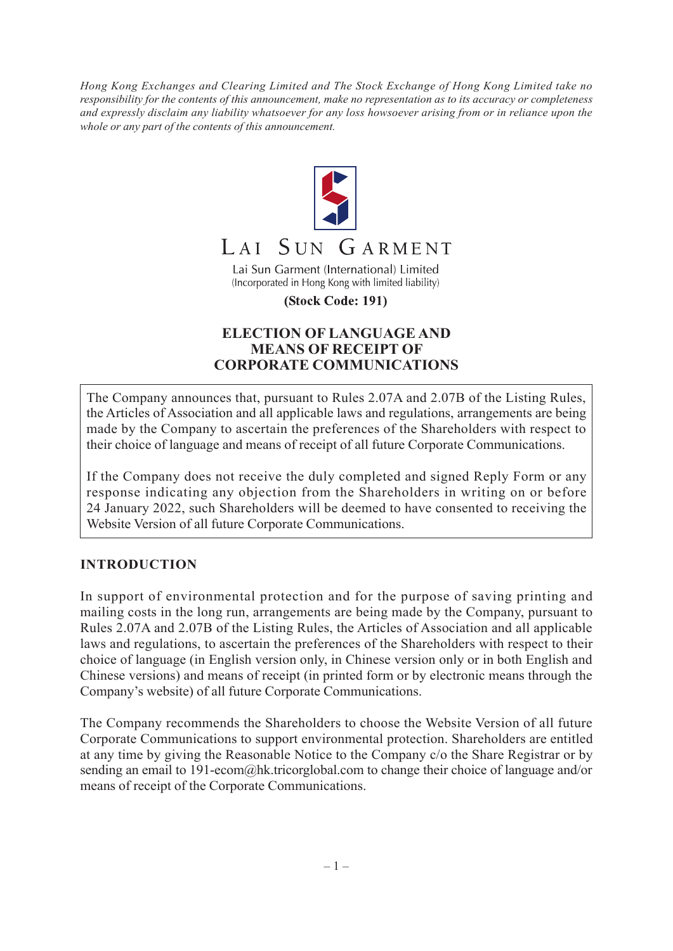*Hong Kong Exchanges and Clearing Limited and The Stock Exchange of Hong Kong Limited take no responsibility for the contents of this announcement, make no representation as to its accuracy or completeness and expressly disclaim any liability whatsoever for any loss howsoever arising from or in reliance upon the whole or any part of the contents of this announcement.*



#### SUN GARMENT  $IAI$

Lai Sun Garment (International) Limited (Incorporated in Hong Kong with limited liability)

(Stock Code: 191)

## **ELECTION OF LANGUAGE AND MEANS OF RECEIPT OF CORPORATE COMMUNICATIONS**

The Company announces that, pursuant to Rules 2.07A and 2.07B of the Listing Rules, the Articles of Association and all applicable laws and regulations, arrangements are being made by the Company to ascertain the preferences of the Shareholders with respect to their choice of language and means of receipt of all future Corporate Communications.

If the Company does not receive the duly completed and signed Reply Form or any response indicating any objection from the Shareholders in writing on or before 24 January 2022, such Shareholders will be deemed to have consented to receiving the Website Version of all future Corporate Communications.

## **INTRODUCTION**

In support of environmental protection and for the purpose of saving printing and mailing costs in the long run, arrangements are being made by the Company, pursuant to Rules 2.07A and 2.07B of the Listing Rules, the Articles of Association and all applicable laws and regulations, to ascertain the preferences of the Shareholders with respect to their choice of language (in English version only, in Chinese version only or in both English and Chinese versions) and means of receipt (in printed form or by electronic means through the Company's website) of all future Corporate Communications.

The Company recommends the Shareholders to choose the Website Version of all future Corporate Communications to support environmental protection. Shareholders are entitled at any time by giving the Reasonable Notice to the Company c/o the Share Registrar or by sending an email to 191-ecom@hk.tricorglobal.com to change their choice of language and/or means of receipt of the Corporate Communications.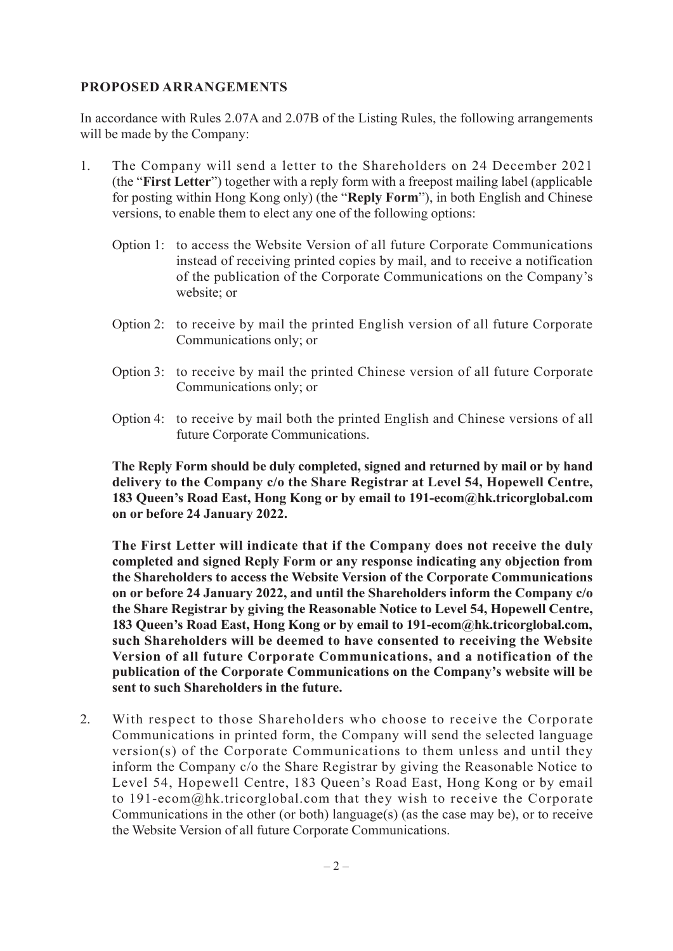#### **PROPOSED ARRANGEMENTS**

In accordance with Rules 2.07A and 2.07B of the Listing Rules, the following arrangements will be made by the Company:

- 1. The Company will send a letter to the Shareholders on 24 December 2021 (the "**First Letter**") together with a reply form with a freepost mailing label (applicable for posting within Hong Kong only) (the "**Reply Form**"), in both English and Chinese versions, to enable them to elect any one of the following options:
	- Option 1: to access the Website Version of all future Corporate Communications instead of receiving printed copies by mail, and to receive a notification of the publication of the Corporate Communications on the Company's website; or
	- Option 2: to receive by mail the printed English version of all future Corporate Communications only; or
	- Option 3: to receive by mail the printed Chinese version of all future Corporate Communications only; or
	- Option 4: to receive by mail both the printed English and Chinese versions of all future Corporate Communications.

**The Reply Form should be duly completed, signed and returned by mail or by hand delivery to the Company c/o the Share Registrar at Level 54, Hopewell Centre, 183 Queen's Road East, Hong Kong or by email to 191-ecom@hk.tricorglobal.com on or before 24 January 2022.**

**The First Letter will indicate that if the Company does not receive the duly completed and signed Reply Form or any response indicating any objection from the Shareholders to access the Website Version of the Corporate Communications on or before 24 January 2022, and until the Shareholders inform the Company c/o the Share Registrar by giving the Reasonable Notice to Level 54, Hopewell Centre, 183 Queen's Road East, Hong Kong or by email to 191-ecom@hk.tricorglobal.com, such Shareholders will be deemed to have consented to receiving the Website Version of all future Corporate Communications, and a notification of the publication of the Corporate Communications on the Company's website will be sent to such Shareholders in the future.**

2. With respect to those Shareholders who choose to receive the Corporate Communications in printed form, the Company will send the selected language version(s) of the Corporate Communications to them unless and until they inform the Company c/o the Share Registrar by giving the Reasonable Notice to Level 54, Hopewell Centre, 183 Queen's Road East, Hong Kong or by email to 191-ecom@hk.tricorglobal.com that they wish to receive the Corporate Communications in the other (or both) language(s) (as the case may be), or to receive the Website Version of all future Corporate Communications.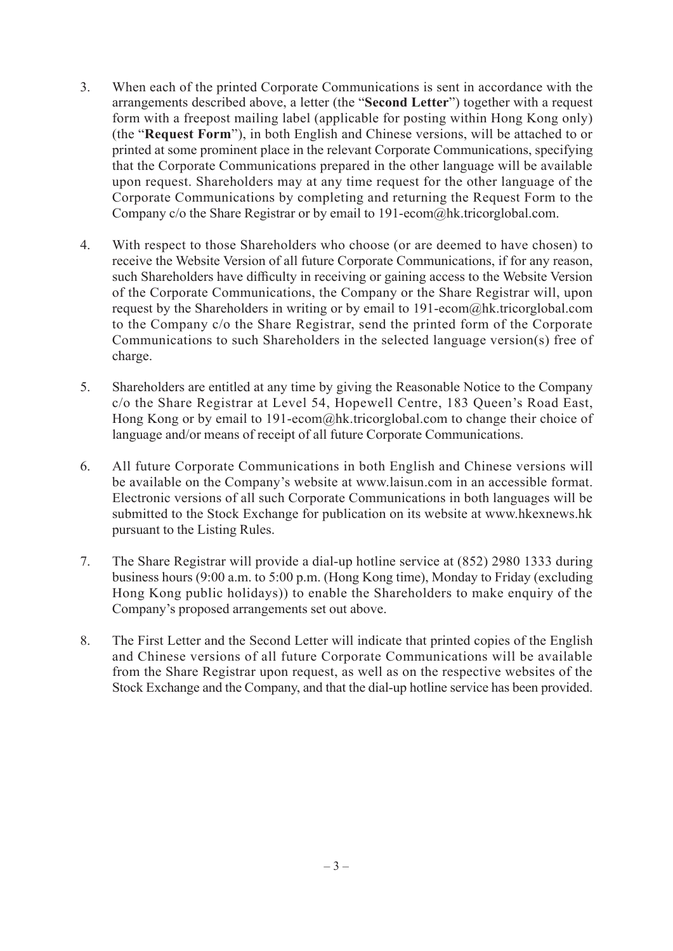- 3. When each of the printed Corporate Communications is sent in accordance with the arrangements described above, a letter (the "**Second Letter**") together with a request form with a freepost mailing label (applicable for posting within Hong Kong only) (the "**Request Form**"), in both English and Chinese versions, will be attached to or printed at some prominent place in the relevant Corporate Communications, specifying that the Corporate Communications prepared in the other language will be available upon request. Shareholders may at any time request for the other language of the Corporate Communications by completing and returning the Request Form to the Company c/o the Share Registrar or by email to 191-ecom@hk.tricorglobal.com.
- 4. With respect to those Shareholders who choose (or are deemed to have chosen) to receive the Website Version of all future Corporate Communications, if for any reason, such Shareholders have difficulty in receiving or gaining access to the Website Version of the Corporate Communications, the Company or the Share Registrar will, upon request by the Shareholders in writing or by email to 191-ecom@hk.tricorglobal.com to the Company c/o the Share Registrar, send the printed form of the Corporate Communications to such Shareholders in the selected language version(s) free of charge.
- 5. Shareholders are entitled at any time by giving the Reasonable Notice to the Company c/o the Share Registrar at Level 54, Hopewell Centre, 183 Queen's Road East, Hong Kong or by email to 191-ecom@hk.tricorglobal.com to change their choice of language and/or means of receipt of all future Corporate Communications.
- 6. All future Corporate Communications in both English and Chinese versions will be available on the Company's website at www.laisun.com in an accessible format. Electronic versions of all such Corporate Communications in both languages will be submitted to the Stock Exchange for publication on its website at www.hkexnews.hk pursuant to the Listing Rules.
- 7. The Share Registrar will provide a dial-up hotline service at (852) 2980 1333 during business hours (9:00 a.m. to 5:00 p.m. (Hong Kong time), Monday to Friday (excluding Hong Kong public holidays)) to enable the Shareholders to make enquiry of the Company's proposed arrangements set out above.
- 8. The First Letter and the Second Letter will indicate that printed copies of the English and Chinese versions of all future Corporate Communications will be available from the Share Registrar upon request, as well as on the respective websites of the Stock Exchange and the Company, and that the dial-up hotline service has been provided.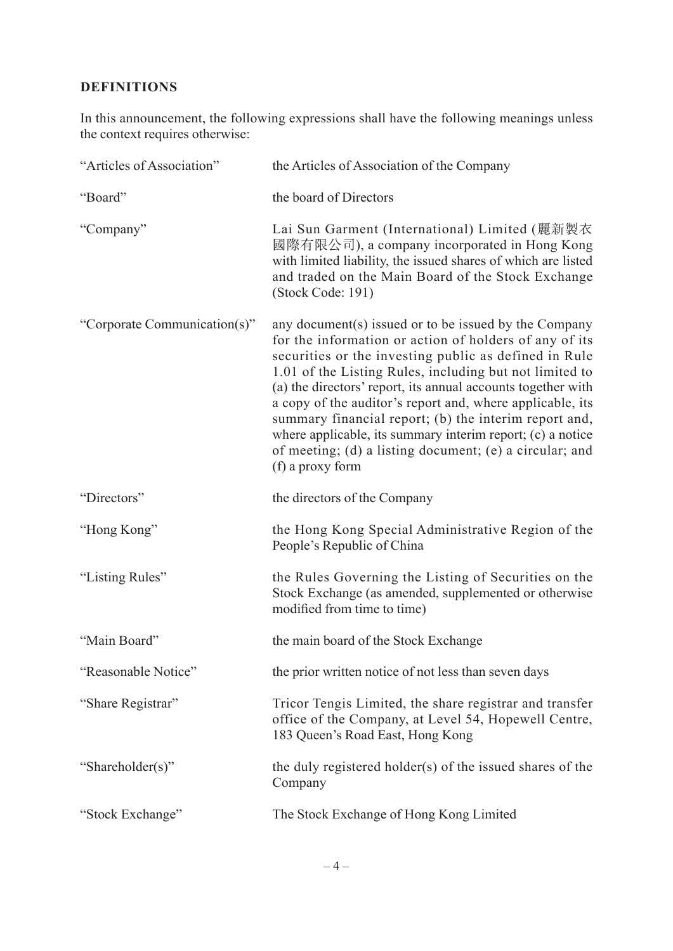# **DEFINITIONS**

In this announcement, the following expressions shall have the following meanings unless the context requires otherwise:

| "Articles of Association"    | the Articles of Association of the Company                                                                                                                                                                                                                                                                                                                                                                                                                                                                                                                             |
|------------------------------|------------------------------------------------------------------------------------------------------------------------------------------------------------------------------------------------------------------------------------------------------------------------------------------------------------------------------------------------------------------------------------------------------------------------------------------------------------------------------------------------------------------------------------------------------------------------|
| "Board"                      | the board of Directors                                                                                                                                                                                                                                                                                                                                                                                                                                                                                                                                                 |
| "Company"                    | Lai Sun Garment (International) Limited (麗新製衣<br>國際有限公司), a company incorporated in Hong Kong<br>with limited liability, the issued shares of which are listed<br>and traded on the Main Board of the Stock Exchange<br>(Stock Code: 191)                                                                                                                                                                                                                                                                                                                              |
| "Corporate Communication(s)" | any document(s) issued or to be issued by the Company<br>for the information or action of holders of any of its<br>securities or the investing public as defined in Rule<br>1.01 of the Listing Rules, including but not limited to<br>(a) the directors' report, its annual accounts together with<br>a copy of the auditor's report and, where applicable, its<br>summary financial report; (b) the interim report and,<br>where applicable, its summary interim report; (c) a notice<br>of meeting; (d) a listing document; (e) a circular; and<br>(f) a proxy form |
| "Directors"                  | the directors of the Company                                                                                                                                                                                                                                                                                                                                                                                                                                                                                                                                           |
| "Hong Kong"                  | the Hong Kong Special Administrative Region of the<br>People's Republic of China                                                                                                                                                                                                                                                                                                                                                                                                                                                                                       |
| "Listing Rules"              | the Rules Governing the Listing of Securities on the<br>Stock Exchange (as amended, supplemented or otherwise<br>modified from time to time)                                                                                                                                                                                                                                                                                                                                                                                                                           |
| "Main Board"                 | the main board of the Stock Exchange                                                                                                                                                                                                                                                                                                                                                                                                                                                                                                                                   |
| "Reasonable Notice"          | the prior written notice of not less than seven days                                                                                                                                                                                                                                                                                                                                                                                                                                                                                                                   |
| "Share Registrar"            | Tricor Tengis Limited, the share registrar and transfer<br>office of the Company, at Level 54, Hopewell Centre,<br>183 Queen's Road East, Hong Kong                                                                                                                                                                                                                                                                                                                                                                                                                    |
| "Shareholder(s)"             | the duly registered holder(s) of the issued shares of the<br>Company                                                                                                                                                                                                                                                                                                                                                                                                                                                                                                   |
| "Stock Exchange"             | The Stock Exchange of Hong Kong Limited                                                                                                                                                                                                                                                                                                                                                                                                                                                                                                                                |